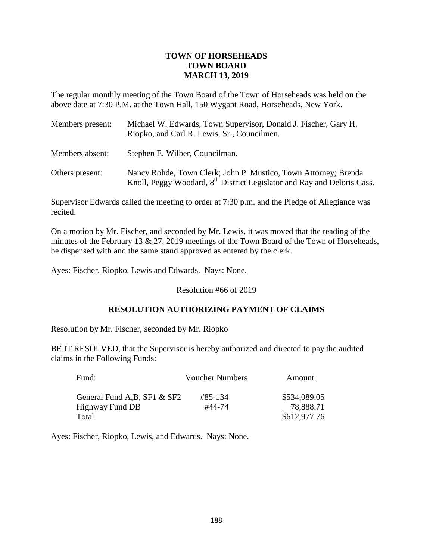## **TOWN OF HORSEHEADS TOWN BOARD MARCH 13, 2019**

The regular monthly meeting of the Town Board of the Town of Horseheads was held on the above date at 7:30 P.M. at the Town Hall, 150 Wygant Road, Horseheads, New York.

| Members present: | Michael W. Edwards, Town Supervisor, Donald J. Fischer, Gary H.<br>Riopko, and Carl R. Lewis, Sr., Councilmen.                                         |  |
|------------------|--------------------------------------------------------------------------------------------------------------------------------------------------------|--|
| Members absent:  | Stephen E. Wilber, Councilman.                                                                                                                         |  |
| Others present:  | Nancy Rohde, Town Clerk; John P. Mustico, Town Attorney; Brenda<br>Knoll, Peggy Woodard, 8 <sup>th</sup> District Legislator and Ray and Deloris Cass. |  |

Supervisor Edwards called the meeting to order at 7:30 p.m. and the Pledge of Allegiance was recited.

On a motion by Mr. Fischer, and seconded by Mr. Lewis, it was moved that the reading of the minutes of the February 13 & 27, 2019 meetings of the Town Board of the Town of Horseheads, be dispensed with and the same stand approved as entered by the clerk.

Ayes: Fischer, Riopko, Lewis and Edwards. Nays: None.

Resolution #66 of 2019

## **RESOLUTION AUTHORIZING PAYMENT OF CLAIMS**

Resolution by Mr. Fischer, seconded by Mr. Riopko

BE IT RESOLVED, that the Supervisor is hereby authorized and directed to pay the audited claims in the Following Funds:

| Fund:                        | <b>Voucher Numbers</b> | Amount       |
|------------------------------|------------------------|--------------|
| General Fund A, B, SF1 & SF2 | #85-134                | \$534,089.05 |
| Highway Fund DB              | #44-74                 | 78,888.71    |
| Total                        |                        | \$612,977.76 |

Ayes: Fischer, Riopko, Lewis, and Edwards. Nays: None.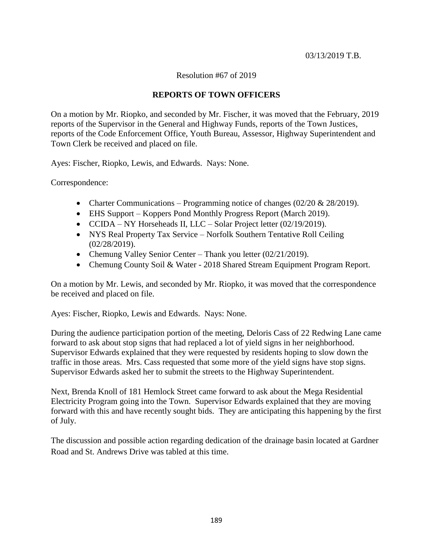#### 03/13/2019 T.B.

### Resolution #67 of 2019

### **REPORTS OF TOWN OFFICERS**

On a motion by Mr. Riopko, and seconded by Mr. Fischer, it was moved that the February, 2019 reports of the Supervisor in the General and Highway Funds, reports of the Town Justices, reports of the Code Enforcement Office, Youth Bureau, Assessor, Highway Superintendent and Town Clerk be received and placed on file.

Ayes: Fischer, Riopko, Lewis, and Edwards. Nays: None.

Correspondence:

- Charter Communications Programming notice of changes  $(02/20 \& 28/2019)$ .
- EHS Support Koppers Pond Monthly Progress Report (March 2019).
- CCIDA NY Horseheads II, LLC Solar Project letter (02/19/2019).
- NYS Real Property Tax Service Norfolk Southern Tentative Roll Ceiling (02/28/2019).
- Chemung Valley Senior Center Thank you letter (02/21/2019).
- Chemung County Soil & Water 2018 Shared Stream Equipment Program Report.

On a motion by Mr. Lewis, and seconded by Mr. Riopko, it was moved that the correspondence be received and placed on file.

Ayes: Fischer, Riopko, Lewis and Edwards. Nays: None.

During the audience participation portion of the meeting, Deloris Cass of 22 Redwing Lane came forward to ask about stop signs that had replaced a lot of yield signs in her neighborhood. Supervisor Edwards explained that they were requested by residents hoping to slow down the traffic in those areas. Mrs. Cass requested that some more of the yield signs have stop signs. Supervisor Edwards asked her to submit the streets to the Highway Superintendent.

Next, Brenda Knoll of 181 Hemlock Street came forward to ask about the Mega Residential Electricity Program going into the Town. Supervisor Edwards explained that they are moving forward with this and have recently sought bids. They are anticipating this happening by the first of July.

The discussion and possible action regarding dedication of the drainage basin located at Gardner Road and St. Andrews Drive was tabled at this time.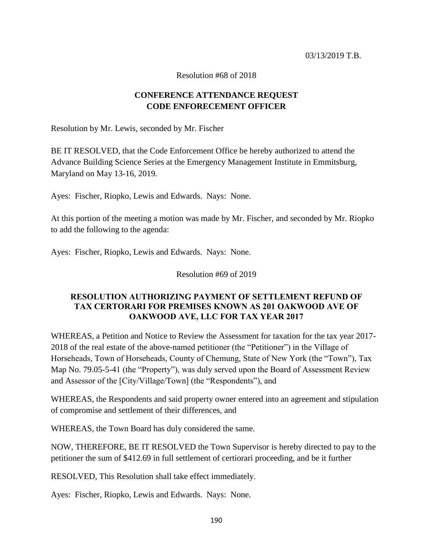Resolution #68 of 2018

# **CONFERENCE ATTENDANCE REQUEST CODE ENFORECEMENT OFFICER**

Resolution by Mr. Lewis, seconded by Mr. Fischer

BE IT RESOLVED, that the Code Enforcement Office be hereby authorized to attend the Advance Building Science Series at the Emergency Management Institute in Emmitsburg, Maryland on May 13-16, 2019.

Ayes: Fischer, Riopko, Lewis and Edwards. Nays: None.

At this portion of the meeting a motion was made by Mr. Fischer, and seconded by Mr. Riopko to add the following to the agenda:

Ayes: Fischer, Riopko, Lewis and Edwards. Nays: None.

Resolution #69 of 2019

## **RESOLUTION AUTHORIZING PAYMENT OF SETTLEMENT REFUND OF TAX CERTORARI FOR PREMISES KNOWN AS 201 OAKWOOD AVE OF OAKWOOD AVE, LLC FOR TAX YEAR 2017**

WHEREAS, a Petition and Notice to Review the Assessment for taxation for the tax year 2017- 2018 of the real estate of the above-named petitioner (the "Petitioner") in the Village of Horseheads, Town of Horseheads, County of Chemung, State of New York (the "Town"), Tax Map No. 79.05-5-41 (the "Property"), was duly served upon the Board of Assessment Review and Assessor of the [City/Village/Town] (the "Respondents"), and

WHEREAS, the Respondents and said property owner entered into an agreement and stipulation of compromise and settlement of their differences, and

WHEREAS, the Town Board has duly considered the same.

NOW, THEREFORE, BE IT RESOLVED the Town Supervisor is hereby directed to pay to the petitioner the sum of \$412.69 in full settlement of certiorari proceeding, and be it further

RESOLVED, This Resolution shall take effect immediately.

Ayes: Fischer, Riopko, Lewis and Edwards. Nays: None.